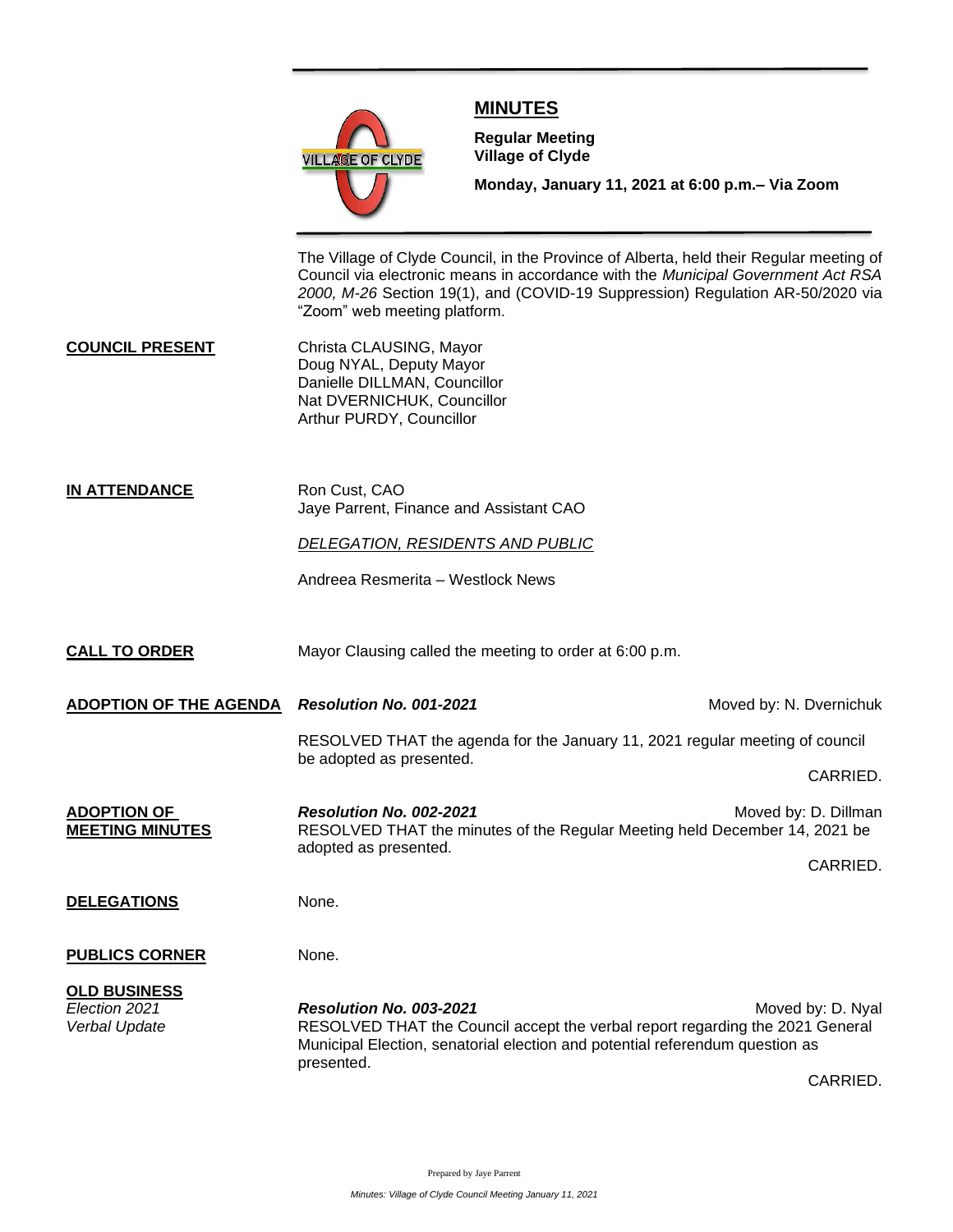

## **MINUTES**

**Meeting**

**Regular Meeting Village of Clyde**

**Monday, January 11, 2021 at 6:00 p.m.– Via Zoom** 

The Village of Clyde Council, in the Province of Alberta, held their Regular meeting of Council via electronic means in accordance with the *Municipal Government Act RSA 2000, M-26* Section 19(1), and (COVID-19 Suppression) Regulation AR-50/2020 via "Zoom" web meeting platform.

**COUNCIL PRESENT** Christa CLAUSING, Mayor Doug NYAL, Deputy Mayor Danielle DILLMAN, Councillor Nat DVERNICHUK, Councillor Arthur PURDY, Councillor

**IN ATTENDANCE** Ron Cust, CAO Jaye Parrent, Finance and Assistant CAO

*DELEGATION, RESIDENTS AND PUBLIC*

Andreea Resmerita – Westlock News

**CALL TO ORDER** Mayor Clausing called the meeting to order at 6:00 p.m.

**ADOPTION OF THE AGENDA Resolution No. 001-2021** Moved by: N. Dvernichuk RESOLVED THAT the agenda for the January 11, 2021 regular meeting of council be adopted as presented. CARRIED. **ADOPTION OF** *Resolution No. 002-2021* **Moved by: D. Dillman MEETING MINUTES** RESOLVED THAT the minutes of the Regular Meeting held December 14, 2021 be adopted as presented. CARRIED. **DELEGATIONS** None. **PUBLICS CORNER** None. **OLD BUSINESS** *Election 2021 Resolution No. 003-2021* Moved by: D. Nyal *Verbal Update* RESOLVED THAT the Council accept the verbal report regarding the 2021 General Municipal Election, senatorial election and potential referendum question as presented. CARRIED.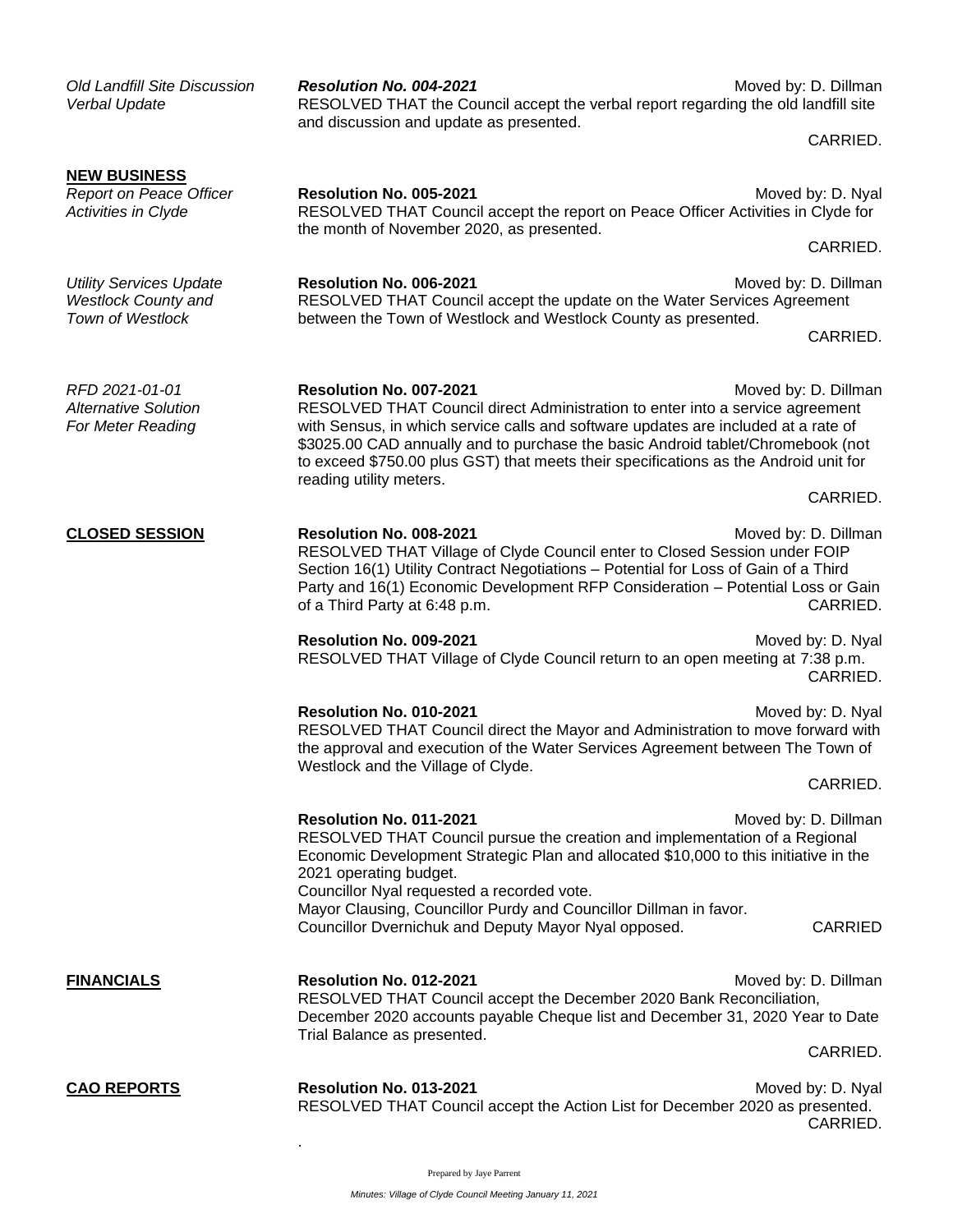| <b>Old Landfill Site Discussion</b><br>Verbal Update                             | Resolution No. 004-2021<br>RESOLVED THAT the Council accept the verbal report regarding the old landfill site<br>and discussion and update as presented.                                                                                                                                                                                                                                             | Moved by: D. Dillman             |  |
|----------------------------------------------------------------------------------|------------------------------------------------------------------------------------------------------------------------------------------------------------------------------------------------------------------------------------------------------------------------------------------------------------------------------------------------------------------------------------------------------|----------------------------------|--|
|                                                                                  |                                                                                                                                                                                                                                                                                                                                                                                                      | CARRIED.                         |  |
| <b>NEW BUSINESS</b><br>Report on Peace Officer<br>Activities in Clyde            | Resolution No. 005-2021<br>Moved by: D. Nyal<br>RESOLVED THAT Council accept the report on Peace Officer Activities in Clyde for<br>the month of November 2020, as presented.                                                                                                                                                                                                                        |                                  |  |
|                                                                                  |                                                                                                                                                                                                                                                                                                                                                                                                      | CARRIED.                         |  |
| <b>Utility Services Update</b><br><b>Westlock County and</b><br>Town of Westlock | Resolution No. 006-2021<br>RESOLVED THAT Council accept the update on the Water Services Agreement<br>between the Town of Westlock and Westlock County as presented.                                                                                                                                                                                                                                 | Moved by: D. Dillman             |  |
|                                                                                  |                                                                                                                                                                                                                                                                                                                                                                                                      | CARRIED.                         |  |
| RFD 2021-01-01<br><b>Alternative Solution</b><br>For Meter Reading               | Resolution No. 007-2021<br>RESOLVED THAT Council direct Administration to enter into a service agreement<br>with Sensus, in which service calls and software updates are included at a rate of<br>\$3025.00 CAD annually and to purchase the basic Android tablet/Chromebook (not<br>to exceed \$750.00 plus GST) that meets their specifications as the Android unit for<br>reading utility meters. | Moved by: D. Dillman             |  |
|                                                                                  |                                                                                                                                                                                                                                                                                                                                                                                                      | CARRIED.                         |  |
| <b>CLOSED SESSION</b>                                                            | Resolution No. 008-2021<br>RESOLVED THAT Village of Clyde Council enter to Closed Session under FOIP<br>Section 16(1) Utility Contract Negotiations - Potential for Loss of Gain of a Third<br>Party and 16(1) Economic Development RFP Consideration - Potential Loss or Gain<br>of a Third Party at 6:48 p.m.                                                                                      | Moved by: D. Dillman<br>CARRIED. |  |
|                                                                                  | Resolution No. 009-2021<br>RESOLVED THAT Village of Clyde Council return to an open meeting at 7:38 p.m.                                                                                                                                                                                                                                                                                             | Moved by: D. Nyal<br>CARRIED.    |  |
|                                                                                  | Resolution No. 010-2021<br>Moved by: D. Nyal<br>RESOLVED THAT Council direct the Mayor and Administration to move forward with<br>the approval and execution of the Water Services Agreement between The Town of<br>Westlock and the Village of Clyde.                                                                                                                                               |                                  |  |
|                                                                                  |                                                                                                                                                                                                                                                                                                                                                                                                      | CARRIED.                         |  |
|                                                                                  | Resolution No. 011-2021<br>Moved by: D. Dillman<br>RESOLVED THAT Council pursue the creation and implementation of a Regional<br>Economic Development Strategic Plan and allocated \$10,000 to this initiative in the<br>2021 operating budget.<br>Councillor Nyal requested a recorded vote.                                                                                                        |                                  |  |
|                                                                                  | Mayor Clausing, Councillor Purdy and Councillor Dillman in favor.<br>Councillor Dvernichuk and Deputy Mayor Nyal opposed.                                                                                                                                                                                                                                                                            | <b>CARRIED</b>                   |  |
| <b>FINANCIALS</b>                                                                | Resolution No. 012-2021<br>RESOLVED THAT Council accept the December 2020 Bank Reconciliation,<br>December 2020 accounts payable Cheque list and December 31, 2020 Year to Date<br>Trial Balance as presented.                                                                                                                                                                                       | Moved by: D. Dillman             |  |
|                                                                                  |                                                                                                                                                                                                                                                                                                                                                                                                      | CARRIED.                         |  |
| <b>CAO REPORTS</b>                                                               | Resolution No. 013-2021<br>RESOLVED THAT Council accept the Action List for December 2020 as presented.                                                                                                                                                                                                                                                                                              | Moved by: D. Nyal<br>CARRIED.    |  |

Prepared by Jaye Parrent

.